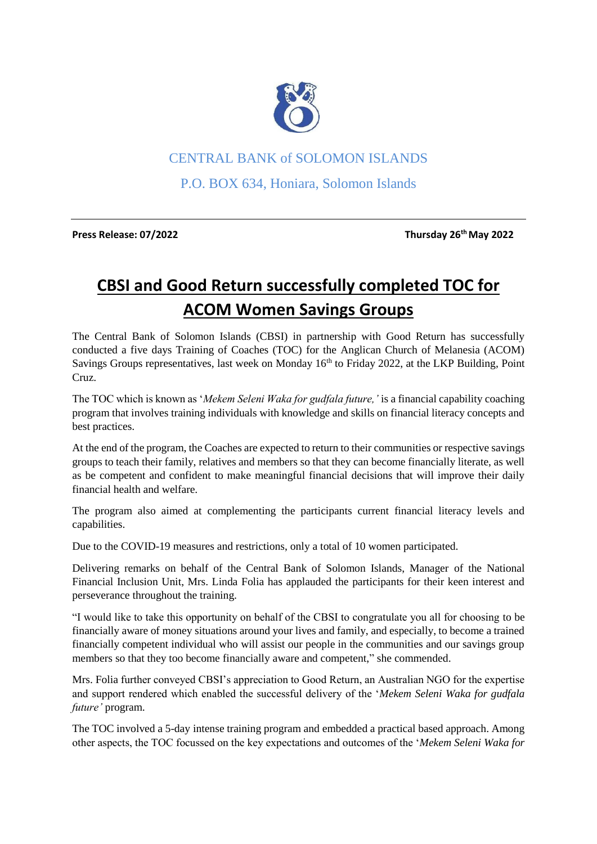

## CENTRAL BANK of SOLOMON ISLANDS

P.O. BOX 634, Honiara, Solomon Islands

**Press Release: 07/2022 Thursday 26th May 2022**

## **CBSI and Good Return successfully completed TOC for ACOM Women Savings Groups**

The Central Bank of Solomon Islands (CBSI) in partnership with Good Return has successfully conducted a five days Training of Coaches (TOC) for the Anglican Church of Melanesia (ACOM) Savings Groups representatives, last week on Monday 16<sup>th</sup> to Friday 2022, at the LKP Building, Point Cruz.

The TOC which is known as '*Mekem Seleni Waka for gudfala future,'* is a financial capability coaching program that involves training individuals with knowledge and skills on financial literacy concepts and best practices.

At the end of the program, the Coaches are expected to return to their communities or respective savings groups to teach their family, relatives and members so that they can become financially literate, as well as be competent and confident to make meaningful financial decisions that will improve their daily financial health and welfare.

The program also aimed at complementing the participants current financial literacy levels and capabilities.

Due to the COVID-19 measures and restrictions, only a total of 10 women participated.

Delivering remarks on behalf of the Central Bank of Solomon Islands, Manager of the National Financial Inclusion Unit, Mrs. Linda Folia has applauded the participants for their keen interest and perseverance throughout the training.

"I would like to take this opportunity on behalf of the CBSI to congratulate you all for choosing to be financially aware of money situations around your lives and family, and especially, to become a trained financially competent individual who will assist our people in the communities and our savings group members so that they too become financially aware and competent," she commended.

Mrs. Folia further conveyed CBSI's appreciation to Good Return, an Australian NGO for the expertise and support rendered which enabled the successful delivery of the '*Mekem Seleni Waka for gudfala future'* program.

The TOC involved a 5-day intense training program and embedded a practical based approach. Among other aspects, the TOC focussed on the key expectations and outcomes of the '*Mekem Seleni Waka for*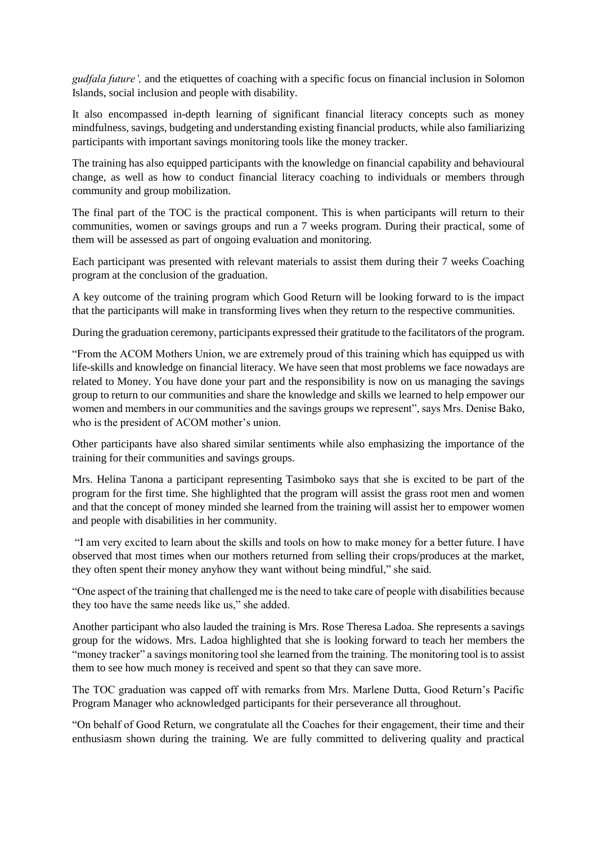*gudfala future',* and the etiquettes of coaching with a specific focus on financial inclusion in Solomon Islands, social inclusion and people with disability.

It also encompassed in-depth learning of significant financial literacy concepts such as money mindfulness, savings, budgeting and understanding existing financial products, while also familiarizing participants with important savings monitoring tools like the money tracker.

The training has also equipped participants with the knowledge on financial capability and behavioural change, as well as how to conduct financial literacy coaching to individuals or members through community and group mobilization.

The final part of the TOC is the practical component. This is when participants will return to their communities, women or savings groups and run a 7 weeks program. During their practical, some of them will be assessed as part of ongoing evaluation and monitoring.

Each participant was presented with relevant materials to assist them during their 7 weeks Coaching program at the conclusion of the graduation.

A key outcome of the training program which Good Return will be looking forward to is the impact that the participants will make in transforming lives when they return to the respective communities.

During the graduation ceremony, participants expressed their gratitude to the facilitators of the program.

"From the ACOM Mothers Union, we are extremely proud of this training which has equipped us with life-skills and knowledge on financial literacy. We have seen that most problems we face nowadays are related to Money. You have done your part and the responsibility is now on us managing the savings group to return to our communities and share the knowledge and skills we learned to help empower our women and members in our communities and the savings groups we represent", says Mrs. Denise Bako, who is the president of ACOM mother's union.

Other participants have also shared similar sentiments while also emphasizing the importance of the training for their communities and savings groups.

Mrs. Helina Tanona a participant representing Tasimboko says that she is excited to be part of the program for the first time. She highlighted that the program will assist the grass root men and women and that the concept of money minded she learned from the training will assist her to empower women and people with disabilities in her community.

"I am very excited to learn about the skills and tools on how to make money for a better future. I have observed that most times when our mothers returned from selling their crops/produces at the market, they often spent their money anyhow they want without being mindful," she said.

"One aspect of the training that challenged me is the need to take care of people with disabilities because they too have the same needs like us," she added.

Another participant who also lauded the training is Mrs. Rose Theresa Ladoa. She represents a savings group for the widows. Mrs. Ladoa highlighted that she is looking forward to teach her members the "money tracker" a savings monitoring tool she learned from the training. The monitoring tool is to assist them to see how much money is received and spent so that they can save more.

The TOC graduation was capped off with remarks from Mrs. Marlene Dutta, Good Return's Pacific Program Manager who acknowledged participants for their perseverance all throughout.

"On behalf of Good Return, we congratulate all the Coaches for their engagement, their time and their enthusiasm shown during the training. We are fully committed to delivering quality and practical